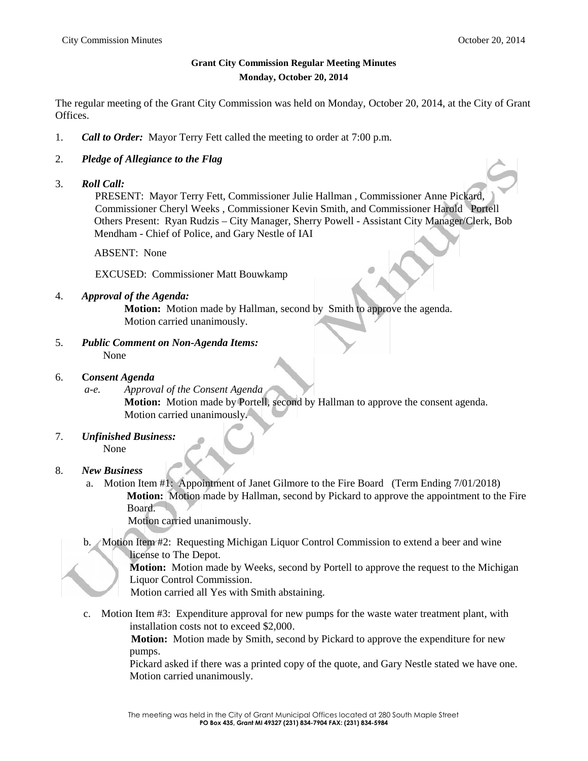## **Grant City Commission Regular Meeting Minutes Monday, October 20, 2014**

The regular meeting of the Grant City Commission was held on Monday, October 20, 2014, at the City of Grant Offices.

- 1. *Call to Order:* Mayor Terry Fett called the meeting to order at 7:00 p.m.
- 2. *Pledge of Allegiance to the Flag*
- 3. *Roll Call:*

PRESENT: Mayor Terry Fett, Commissioner Julie Hallman , Commissioner Anne Pickard, Commissioner Cheryl Weeks , Commissioner Kevin Smith, and Commissioner Harold Portell Others Present: Ryan Rudzis – City Manager, Sherry Powell - Assistant City Manager/Clerk, Bob Mendham - Chief of Police, and Gary Nestle of IAI

ABSENT: None

EXCUSED: Commissioner Matt Bouwkamp

4. *Approval of the Agenda:*

**Motion:** Motion made by Hallman, second by Smith to approve the agenda. Motion carried unanimously.

- 5. *Public Comment on Non-Agenda Items:* None
- 6. **C***onsent Agenda*
	- *a-e. Approval of the Consent Agenda* **Motion:** Motion made by Portell, second by Hallman to approve the consent agenda. Motion carried unanimously.
- 7. *Unfinished Business:* None
- 8. *New Business*
	- a. Motion Item #1: Appointment of Janet Gilmore to the Fire Board (Term Ending 7/01/2018) **Motion:** Motion made by Hallman, second by Pickard to approve the appointment to the Fire Board.
		- Motion carried unanimously.
	- b. Motion Item #2: Requesting Michigan Liquor Control Commission to extend a beer and wine license to The Depot.

**Motion:** Motion made by Weeks, second by Portell to approve the request to the Michigan Liquor Control Commission.

Motion carried all Yes with Smith abstaining.

c. Motion Item #3: Expenditure approval for new pumps for the waste water treatment plant, with installation costs not to exceed \$2,000.

> **Motion:** Motion made by Smith, second by Pickard to approve the expenditure for new pumps.

Pickard asked if there was a printed copy of the quote, and Gary Nestle stated we have one. Motion carried unanimously.